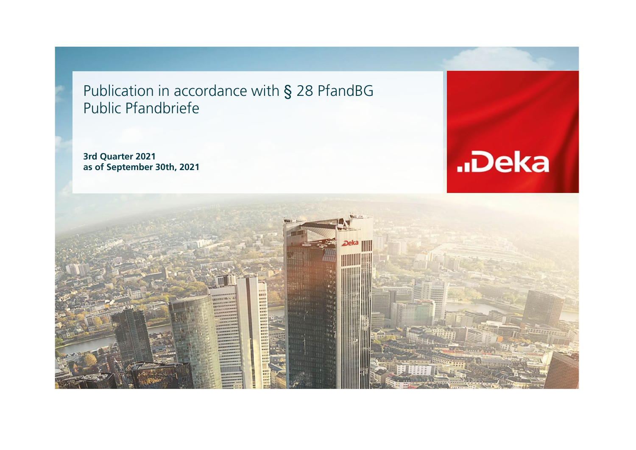Publication in accordance with § 28 PfandBG Public Pfandbriefe

**3rd Quarter 2021 as of September 30th, 2021**



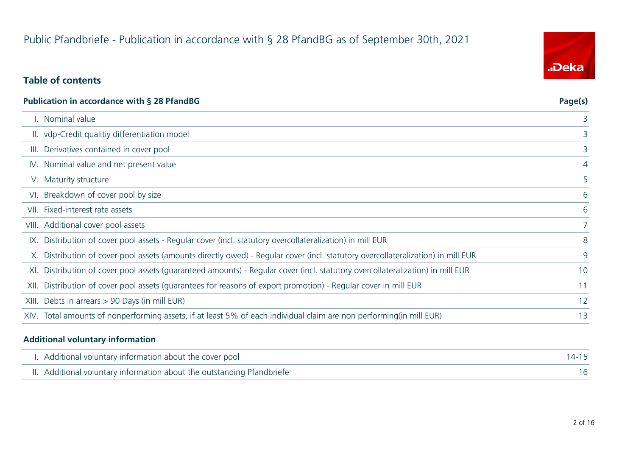# Public Pfandbriefe - Publication in accordance with § 28 PfandBG as of September 30th, 2021

### **Table of contents**

| Publication in accordance with § 28 PfandBG                                                                                      | Page(s) |
|----------------------------------------------------------------------------------------------------------------------------------|---------|
| Nominal value                                                                                                                    | 3       |
| II. vdp-Credit qualitiy differentiation model                                                                                    | 3       |
| III. Derivatives contained in cover pool                                                                                         | 3       |
| IV. Nominal value and net present value                                                                                          | 4       |
| V. Maturity structure                                                                                                            | 5       |
| VI. Breakdown of cover pool by size                                                                                              | 6       |
| VII. Fixed-interest rate assets                                                                                                  | 6       |
| VIII. Additional cover pool assets                                                                                               | 7       |
| IX. Distribution of cover pool assets - Regular cover (incl. statutory overcollateralization) in mill EUR                        | 8       |
| X. Distribution of cover pool assets (amounts directly owed) - Regular cover (incl. statutory overcollateralization) in mill EUR | 9       |
| XI. Distribution of cover pool assets (quaranteed amounts) - Regular cover (incl. statutory overcollateralization) in mill EUR   | 10      |
| XII. Distribution of cover pool assets (quarantees for reasons of export promotion) - Regular cover in mill EUR                  | 11      |
| XIII. Debts in arrears > 90 Days (in mill EUR)                                                                                   | 12      |
| XIV. Total amounts of nonperforming assets, if at least 5% of each individual claim are non performing(in mill EUR)              | 13      |
|                                                                                                                                  |         |

#### **Additional voluntary information**

| I. Additional voluntary information about the cover pool               | $14 - 15$ |
|------------------------------------------------------------------------|-----------|
| II. Additional voluntary information about the outstanding Pfandbriefe |           |

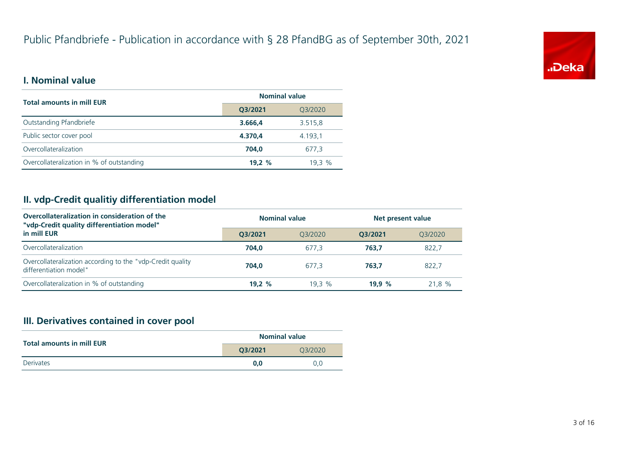

#### **I. Nominal value**

| <b>Total amounts in mill EUR</b>          | <b>Nominal value</b> |         |  |
|-------------------------------------------|----------------------|---------|--|
|                                           | Q3/2021              | Q3/2020 |  |
| Outstanding Pfandbriefe                   | 3.666.4              | 3.515,8 |  |
| Public sector cover pool                  | 4.370.4              | 4.193,1 |  |
| Overcollateralization                     | 704.0                | 677.3   |  |
| Overcollateralization in % of outstanding | 19.2%                | 19.3%   |  |

### **II. vdp-Credit qualitiy differentiation model**

| Overcollateralization in consideration of the<br>"vdp-Credit quality differentiation model" | <b>Nominal value</b> |         | Net present value |         |
|---------------------------------------------------------------------------------------------|----------------------|---------|-------------------|---------|
| in mill EUR                                                                                 | 03/2021              | 03/2020 | O3/2021           | 03/2020 |
| Overcollateralization                                                                       | 704.0                | 677.3   | 763.7             | 822,7   |
| Overcollateralization according to the "vdp-Credit quality"<br>differentiation model"       | 704.0                | 677.3   | 763.7             | 822.7   |
| Overcollateralization in % of outstanding                                                   | 19.2 $%$             | 19.3%   | 19.9 $%$          | 21,8 %  |

#### **III. Derivatives contained in cover pool**

| <b>Total amounts in mill EUR</b> | <b>Nominal value</b> |         |  |
|----------------------------------|----------------------|---------|--|
|                                  | 03/2021              | 03/2020 |  |
| Derivates                        | 0.0                  | 0.0     |  |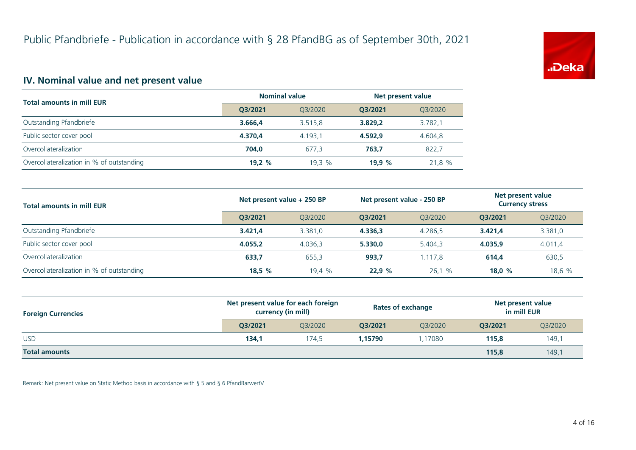

### **IV. Nominal value and net present value**

| <b>Total amounts in mill EUR</b>          | <b>Nominal value</b> |         | Net present value |         |
|-------------------------------------------|----------------------|---------|-------------------|---------|
|                                           | 03/2021              | 03/2020 | O3/2021           | Q3/2020 |
| Outstanding Pfandbriefe                   | 3.666.4              | 3.515.8 | 3.829.2           | 3.782,1 |
| Public sector cover pool                  | 4.370.4              | 4.193.1 | 4.592.9           | 4.604,8 |
| Overcollateralization                     | 704.0                | 677.3   | 763.7             | 822.7   |
| Overcollateralization in % of outstanding | 19.2 $%$             | 19.3 %  | 19.9%             | 21,8 %  |

| <b>Total amounts in mill EUR</b>          | Net present value + 250 BP |         | Net present value - 250 BP |         | Net present value<br><b>Currency stress</b> |         |
|-------------------------------------------|----------------------------|---------|----------------------------|---------|---------------------------------------------|---------|
|                                           | O3/2021                    | 03/2020 | O3/2021                    | 03/2020 | O3/2021                                     | Q3/2020 |
| Outstanding Pfandbriefe                   | 3.421.4                    | 3.381.0 | 4.336.3                    | 4.286.5 | 3.421.4                                     | 3.381,0 |
| Public sector cover pool                  | 4.055.2                    | 4.036,3 | 5.330,0                    | 5.404.3 | 4.035.9                                     | 4.011,4 |
| Overcollateralization                     | 633,7                      | 655.3   | 993,7                      | 1.117.8 | 614.4                                       | 630,5   |
| Overcollateralization in % of outstanding | 18,5%                      | 19.4%   | 22.9%                      | 26,1%   | 18.0 $%$                                    | 18,6 %  |

| <b>Foreign Currencies</b> | Net present value for each foreign<br>currency (in mill) |         | <b>Rates of exchange</b> |         | Net present value<br>in mill EUR |         |
|---------------------------|----------------------------------------------------------|---------|--------------------------|---------|----------------------------------|---------|
|                           | O3/2021                                                  | 03/2020 | O3/2021                  | 03/2020 | O3/2021                          | Q3/2020 |
| <b>USD</b>                | 134,1                                                    | 174.5   | 1.15790                  | 1.17080 | 115,8                            | 149,1   |
| <b>Total amounts</b>      |                                                          |         |                          |         | 115.8                            | 149,1   |

Remark: Net present value on Static Method basis in accordance with § 5 and § 6 PfandBarwertV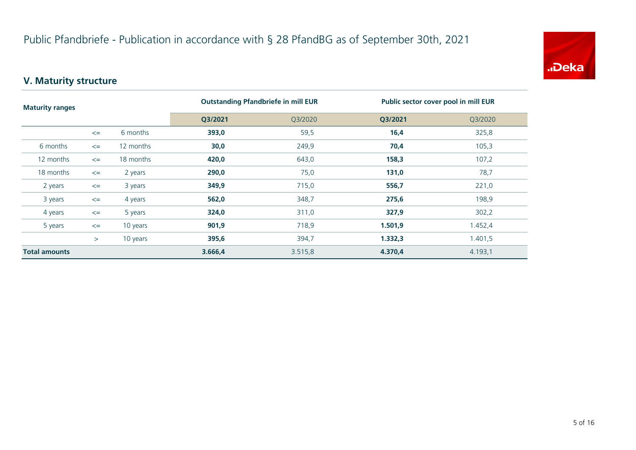

# **V. Maturity structure**

| <b>Maturity ranges</b> |        |           | <b>Outstanding Pfandbriefe in mill EUR</b> |         | Public sector cover pool in mill EUR |         |
|------------------------|--------|-----------|--------------------------------------------|---------|--------------------------------------|---------|
|                        |        |           | Q3/2021                                    | Q3/2020 | Q3/2021                              | Q3/2020 |
|                        | $\leq$ | 6 months  | 393,0                                      | 59,5    | 16,4                                 | 325,8   |
| 6 months               | $\leq$ | 12 months | 30,0                                       | 249,9   | 70,4                                 | 105,3   |
| 12 months              | $\leq$ | 18 months | 420,0                                      | 643,0   | 158,3                                | 107,2   |
| 18 months              | $\leq$ | 2 years   | 290,0                                      | 75,0    | 131,0                                | 78,7    |
| 2 years                | $\leq$ | 3 years   | 349,9                                      | 715,0   | 556,7                                | 221,0   |
| 3 years                | $\leq$ | 4 years   | 562,0                                      | 348,7   | 275,6                                | 198,9   |
| 4 years                | $\leq$ | 5 years   | 324,0                                      | 311,0   | 327,9                                | 302,2   |
| 5 years                | $\leq$ | 10 years  | 901,9                                      | 718,9   | 1.501,9                              | 1.452,4 |
|                        | >      | 10 years  | 395,6                                      | 394,7   | 1.332,3                              | 1.401,5 |
| <b>Total amounts</b>   |        |           | 3.666,4                                    | 3.515,8 | 4.370,4                              | 4.193,1 |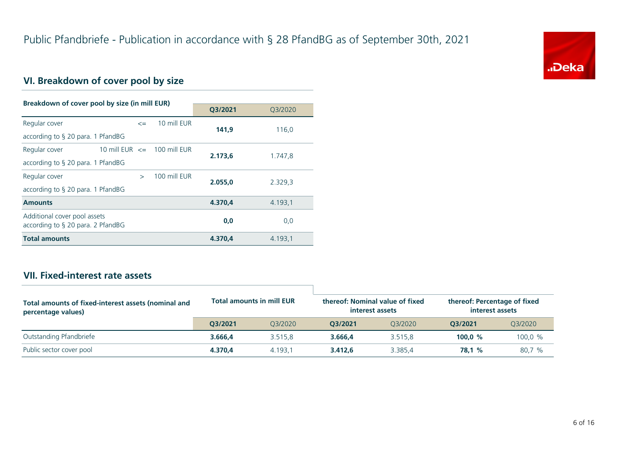

# **VI. Breakdown of cover pool by size**

| Breakdown of cover pool by size (in mill EUR)                     |                                                            |               |              |         |         |  |
|-------------------------------------------------------------------|------------------------------------------------------------|---------------|--------------|---------|---------|--|
|                                                                   |                                                            |               | Q3/2021      | 03/2020 |         |  |
| Regular cover                                                     |                                                            | $\leq$        | 10 mill EUR  | 141.9   | 116,0   |  |
| according to $\S$ 20 para. 1 PfandBG                              |                                                            |               |              |         |         |  |
| Regular cover                                                     | 10 mill EUR $\le$ 100 mill EUR                             |               |              |         |         |  |
|                                                                   | 2.173,6<br>1.747,8<br>according to $\S$ 20 para. 1 PfandBG |               |              |         |         |  |
| Regular cover                                                     |                                                            | $\rightarrow$ | 100 mill FUR | 2.055.0 | 2.329,3 |  |
| according to $\S$ 20 para. 1 PfandBG                              |                                                            |               |              |         |         |  |
| <b>Amounts</b>                                                    |                                                            |               |              | 4.370.4 | 4.193,1 |  |
| Additional cover pool assets<br>according to § 20 para. 2 PfandBG |                                                            |               |              | 0,0     | 0,0     |  |
| <b>Total amounts</b>                                              |                                                            |               |              | 4.370.4 | 4.193,1 |  |

#### **VII. Fixed-interest rate assets**

| Total amounts of fixed-interest assets (nominal and<br>percentage values) | <b>Total amounts in mill EUR</b> |         | thereof: Nominal value of fixed<br>interest assets |         | thereof: Percentage of fixed<br>interest assets |         |
|---------------------------------------------------------------------------|----------------------------------|---------|----------------------------------------------------|---------|-------------------------------------------------|---------|
|                                                                           | O3/2021                          | 03/2020 | 03/2021                                            | 03/2020 | 03/2021                                         | Q3/2020 |
| Outstanding Pfandbriefe                                                   | 3.666.4                          | 3.515.8 | 3.666.4                                            | 3.515.8 | 100.0 $%$                                       | 100,0 % |
| Public sector cover pool                                                  | 4.370.4                          | 4.193.1 | 3.412.6                                            | 3.385.4 | 78.1 %                                          | 80,7 %  |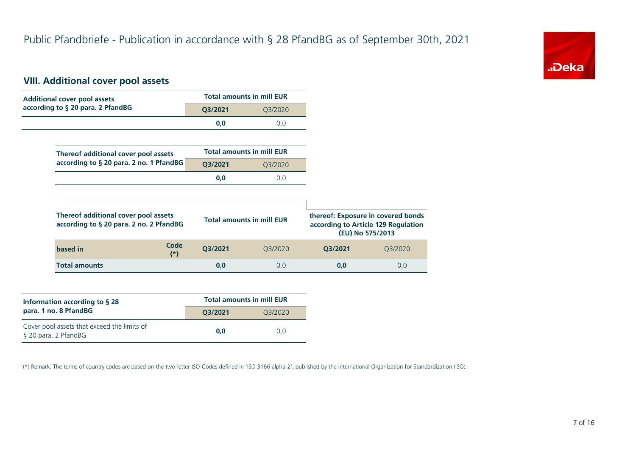

#### **VIII. Additional cover pool assets**

| <b>Additional cover pool assets</b>                                             |               |                                  | <b>Total amounts in mill EUR</b> |         |                                                                                               |
|---------------------------------------------------------------------------------|---------------|----------------------------------|----------------------------------|---------|-----------------------------------------------------------------------------------------------|
| according to § 20 para. 2 PfandBG                                               |               | Q3/2021                          | Q3/2020                          |         |                                                                                               |
|                                                                                 |               | 0,0                              | 0,0                              |         |                                                                                               |
|                                                                                 |               |                                  |                                  |         |                                                                                               |
| Thereof additional cover pool assets                                            |               |                                  | <b>Total amounts in mill EUR</b> |         |                                                                                               |
| according to § 20 para. 2 no. 1 PfandBG                                         |               | Q3/2021                          | Q3/2020                          |         |                                                                                               |
|                                                                                 |               | 0,0                              | 0,0                              |         |                                                                                               |
|                                                                                 |               |                                  |                                  |         |                                                                                               |
| Thereof additional cover pool assets<br>according to § 20 para. 2 no. 2 PfandBG |               | <b>Total amounts in mill EUR</b> |                                  |         | thereof: Exposure in covered bonds<br>according to Article 129 Regulation<br>(EU) No 575/2013 |
|                                                                                 | Code<br>$(*)$ | Q3/2021                          | Q3/2020                          | Q3/2021 | Q3/2020                                                                                       |
| based in                                                                        |               |                                  |                                  |         |                                                                                               |

| Information according to $\S$ 28                                    | <b>Total amounts in mill EUR</b> |         |  |  |
|---------------------------------------------------------------------|----------------------------------|---------|--|--|
| para. 1 no. 8 PfandBG                                               | O3/2021                          | 03/2020 |  |  |
| Cover pool assets that exceed the limits of<br>§ 20 para. 2 PfandBG | 0.0                              | 0.0     |  |  |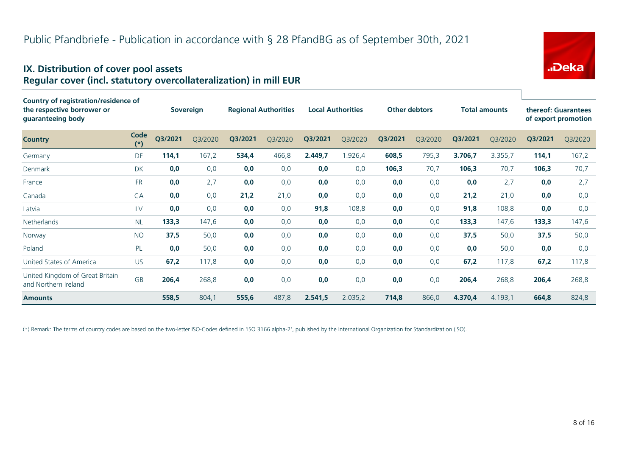#### **IX. Distribution of cover pool assets Regular cover (incl. statutory overcollateralization) in mill EUR**

| Country of registration/residence of<br>the respective borrower or<br>guaranteeing body |               |         | <b>Sovereign</b> |         | <b>Regional Authorities</b> | <b>Local Authorities</b> |         |         |         |         |         | <b>Other debtors</b> |         |  |  | <b>Total amounts</b> |  | thereof: Guarantees<br>of export promotion |  |
|-----------------------------------------------------------------------------------------|---------------|---------|------------------|---------|-----------------------------|--------------------------|---------|---------|---------|---------|---------|----------------------|---------|--|--|----------------------|--|--------------------------------------------|--|
| <b>Country</b>                                                                          | Code<br>$(*)$ | Q3/2021 | Q3/2020          | Q3/2021 | Q3/2020                     | Q3/2021                  | Q3/2020 | Q3/2021 | Q3/2020 | Q3/2021 | Q3/2020 | Q3/2021              | Q3/2020 |  |  |                      |  |                                            |  |
| Germany                                                                                 | DE            | 114,1   | 167,2            | 534,4   | 466,8                       | 2.449,7                  | 1.926,4 | 608,5   | 795,3   | 3.706,7 | 3.355,7 | 114,1                | 167,2   |  |  |                      |  |                                            |  |
| Denmark                                                                                 | <b>DK</b>     | 0,0     | 0,0              | 0,0     | 0,0                         | 0,0                      | 0,0     | 106,3   | 70,7    | 106,3   | 70,7    | 106,3                | 70,7    |  |  |                      |  |                                            |  |
| France                                                                                  | <b>FR</b>     | 0,0     | 2,7              | 0,0     | 0,0                         | 0,0                      | 0,0     | 0,0     | 0,0     | 0,0     | 2,7     | 0,0                  | 2,7     |  |  |                      |  |                                            |  |
| Canada                                                                                  | CA            | 0,0     | 0,0              | 21,2    | 21,0                        | 0,0                      | 0,0     | 0,0     | 0,0     | 21,2    | 21,0    | 0,0                  | 0,0     |  |  |                      |  |                                            |  |
| Latvia                                                                                  | LV            | 0,0     | 0,0              | 0,0     | 0,0                         | 91,8                     | 108,8   | 0,0     | 0,0     | 91,8    | 108,8   | 0,0                  | 0,0     |  |  |                      |  |                                            |  |
| Netherlands                                                                             | <b>NL</b>     | 133,3   | 147,6            | 0,0     | 0,0                         | 0,0                      | 0,0     | 0,0     | 0,0     | 133,3   | 147,6   | 133,3                | 147,6   |  |  |                      |  |                                            |  |
| Norway                                                                                  | <b>NO</b>     | 37,5    | 50,0             | 0,0     | 0,0                         | 0,0                      | 0,0     | 0,0     | 0,0     | 37,5    | 50,0    | 37,5                 | 50,0    |  |  |                      |  |                                            |  |
| Poland                                                                                  | <b>PL</b>     | 0,0     | 50,0             | 0,0     | 0,0                         | 0,0                      | 0,0     | 0,0     | 0,0     | 0,0     | 50,0    | 0,0                  | 0,0     |  |  |                      |  |                                            |  |
| United States of America                                                                | <b>US</b>     | 67,2    | 117,8            | 0,0     | 0,0                         | 0,0                      | 0,0     | 0,0     | 0,0     | 67,2    | 117,8   | 67,2                 | 117,8   |  |  |                      |  |                                            |  |
| United Kingdom of Great Britain<br>and Northern Ireland                                 | <b>GB</b>     | 206,4   | 268,8            | 0,0     | 0,0                         | 0,0                      | 0,0     | 0.0     | 0.0     | 206,4   | 268,8   | 206,4                | 268,8   |  |  |                      |  |                                            |  |
| <b>Amounts</b>                                                                          |               | 558,5   | 804,1            | 555,6   | 487,8                       | 2.541,5                  | 2.035,2 | 714,8   | 866,0   | 4.370,4 | 4.193,1 | 664,8                | 824,8   |  |  |                      |  |                                            |  |

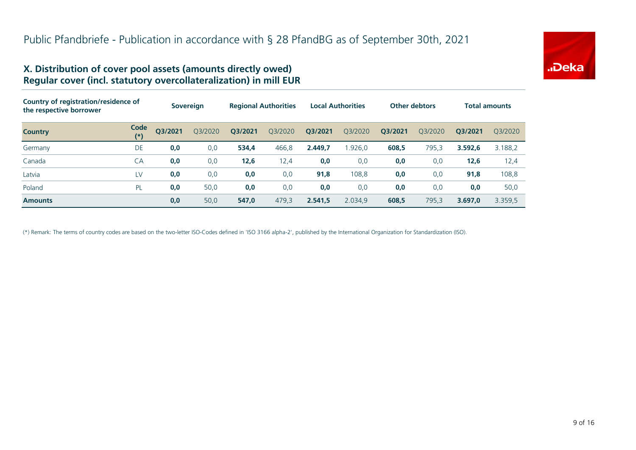

#### **X. Distribution of cover pool assets (amounts directly owed) Regular cover (incl. statutory overcollateralization) in mill EUR**

| Country of registration/residence of<br>the respective borrower |               | <b>Sovereign</b> |         | <b>Regional Authorities</b> |         | <b>Local Authorities</b> |         | <b>Other debtors</b> |         | <b>Total amounts</b> |         |
|-----------------------------------------------------------------|---------------|------------------|---------|-----------------------------|---------|--------------------------|---------|----------------------|---------|----------------------|---------|
| <b>Country</b>                                                  | Code<br>$(*)$ | Q3/2021          | Q3/2020 | Q3/2021                     | Q3/2020 | Q3/2021                  | Q3/2020 | Q3/2021              | O3/2020 | O3/2021              | 03/2020 |
| Germany                                                         | DE            | 0,0              | 0,0     | 534,4                       | 466,8   | 2.449,7                  | 1.926,0 | 608,5                | 795,3   | 3.592.6              | 3.188,2 |
| Canada                                                          | CA            | 0,0              | 0,0     | 12,6                        | 12,4    | 0,0                      | 0,0     | 0,0                  | 0,0     | 12,6                 | 12,4    |
| Latvia                                                          | LV            | 0,0              | 0,0     | 0,0                         | 0,0     | 91,8                     | 108,8   | 0,0                  | 0,0     | 91,8                 | 108,8   |
| Poland                                                          | <b>PL</b>     | 0,0              | 50,0    | 0,0                         | 0,0     | 0,0                      | 0,0     | 0,0                  | 0,0     | 0,0                  | 50,0    |
| <b>Amounts</b>                                                  |               | 0,0              | 50,0    | 547,0                       | 479,3   | 2.541,5                  | 2.034,9 | 608,5                | 795,3   | 3.697.0              | 3.359,5 |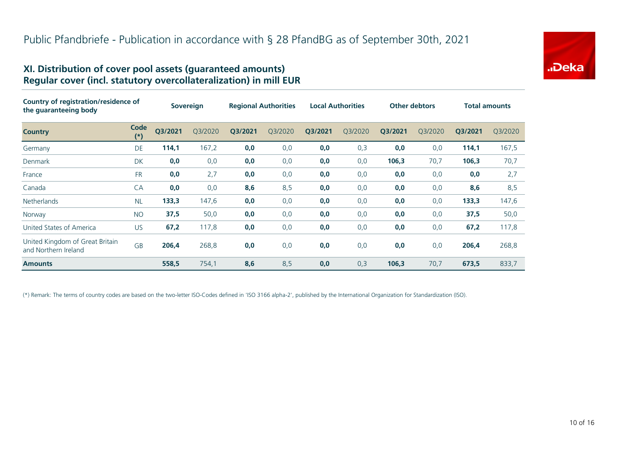

#### **XI. Distribution of cover pool assets (guaranteed amounts) Regular cover (incl. statutory overcollateralization) in mill EUR**

| Country of registration/residence of<br>the guaranteeing body |               | <b>Sovereign</b> |         | <b>Regional Authorities</b> |         | <b>Local Authorities</b> |         | <b>Other debtors</b> |         | <b>Total amounts</b> |         |
|---------------------------------------------------------------|---------------|------------------|---------|-----------------------------|---------|--------------------------|---------|----------------------|---------|----------------------|---------|
| <b>Country</b>                                                | Code<br>$(*)$ | Q3/2021          | Q3/2020 | Q3/2021                     | Q3/2020 | Q3/2021                  | Q3/2020 | Q3/2021              | Q3/2020 | Q3/2021              | Q3/2020 |
| Germany                                                       | <b>DE</b>     | 114,1            | 167,2   | 0,0                         | 0,0     | 0,0                      | 0,3     | 0,0                  | 0,0     | 114,1                | 167,5   |
| Denmark                                                       | DK            | 0,0              | 0,0     | 0,0                         | 0,0     | 0,0                      | 0,0     | 106,3                | 70,7    | 106,3                | 70,7    |
| France                                                        | <b>FR</b>     | 0,0              | 2,7     | 0,0                         | 0,0     | 0,0                      | 0,0     | 0,0                  | 0,0     | 0,0                  | 2,7     |
| Canada                                                        | CA            | 0,0              | 0,0     | 8,6                         | 8,5     | 0,0                      | 0,0     | 0,0                  | 0,0     | 8,6                  | 8,5     |
| <b>Netherlands</b>                                            | <b>NL</b>     | 133,3            | 147,6   | 0,0                         | 0,0     | 0,0                      | 0,0     | 0,0                  | 0,0     | 133,3                | 147,6   |
| Norway                                                        | <b>NO</b>     | 37,5             | 50,0    | 0,0                         | 0,0     | 0,0                      | 0,0     | 0,0                  | 0,0     | 37,5                 | 50,0    |
| United States of America                                      | US            | 67,2             | 117,8   | 0,0                         | 0,0     | 0,0                      | 0,0     | 0,0                  | 0,0     | 67,2                 | 117,8   |
| United Kingdom of Great Britain<br>and Northern Ireland       | <b>GB</b>     | 206,4            | 268,8   | 0,0                         | 0,0     | 0,0                      | 0,0     | 0,0                  | 0,0     | 206,4                | 268,8   |
| <b>Amounts</b>                                                |               | 558,5            | 754,1   | 8,6                         | 8,5     | 0,0                      | 0,3     | 106,3                | 70,7    | 673,5                | 833,7   |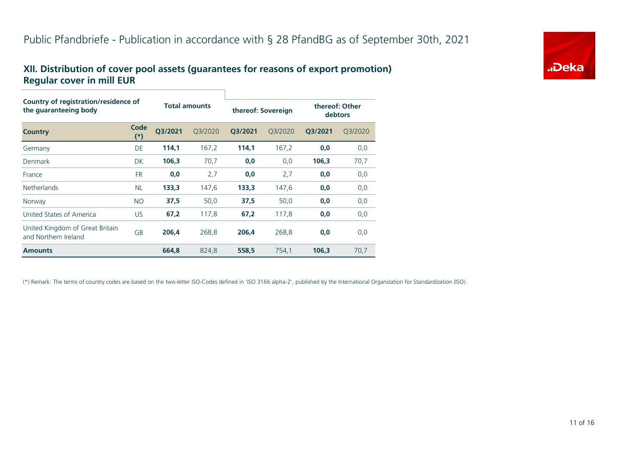#### **XII. Distribution of cover pool assets (guarantees for reasons of export promotion) Regular cover in mill EUR**

| Country of registration/residence of<br>the guaranteeing body |               |         | <b>Total amounts</b> |         | thereof: Sovereign | thereof: Other<br>debtors |         |  |  |  |
|---------------------------------------------------------------|---------------|---------|----------------------|---------|--------------------|---------------------------|---------|--|--|--|
| <b>Country</b>                                                | Code<br>$(*)$ | O3/2021 | O3/2020              | Q3/2021 | 03/2020            | Q3/2021                   | Q3/2020 |  |  |  |
| Germany                                                       | DE            | 114.1   | 167,2                | 114.1   | 167,2              | 0,0                       | 0,0     |  |  |  |
| Denmark                                                       | <b>DK</b>     | 106,3   | 70,7                 | 0,0     | 0,0                | 106,3                     | 70,7    |  |  |  |
| France                                                        | <b>FR</b>     | 0,0     | 2,7                  | 0,0     | 2,7                | 0,0                       | 0,0     |  |  |  |
| <b>Netherlands</b>                                            | <b>NL</b>     | 133,3   | 147,6                | 133,3   | 147,6              | 0,0                       | 0,0     |  |  |  |
| Norway                                                        | <b>NO</b>     | 37,5    | 50,0                 | 37,5    | 50,0               | 0,0                       | 0,0     |  |  |  |
| United States of America                                      | <b>US</b>     | 67,2    | 117,8                | 67,2    | 117,8              | 0,0                       | 0,0     |  |  |  |
| United Kingdom of Great Britain<br>and Northern Ireland       | GB            | 206.4   | 268,8                | 206,4   | 268,8              | 0,0                       | 0,0     |  |  |  |
| <b>Amounts</b>                                                |               | 664,8   | 824,8                | 558,5   | 754,1              | 106,3                     | 70,7    |  |  |  |

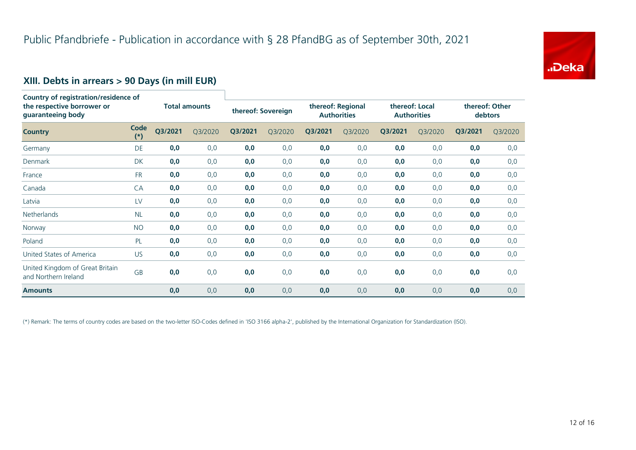

# **XIII. Debts in arrears > 90 Days (in mill EUR)**

| Country of registration/residence of<br>the respective borrower or<br>guaranteeing body |               | <b>Total amounts</b> |         | thereof: Sovereign |         | thereof: Regional<br><b>Authorities</b> |         | thereof: Local<br><b>Authorities</b> |         | thereof: Other<br>debtors |         |
|-----------------------------------------------------------------------------------------|---------------|----------------------|---------|--------------------|---------|-----------------------------------------|---------|--------------------------------------|---------|---------------------------|---------|
| <b>Country</b>                                                                          | Code<br>$(*)$ | Q3/2021              | Q3/2020 | Q3/2021            | Q3/2020 | Q3/2021                                 | Q3/2020 | Q3/2021                              | Q3/2020 | Q3/2021                   | Q3/2020 |
| Germany                                                                                 | <b>DE</b>     | 0,0                  | 0,0     | 0,0                | 0,0     | 0,0                                     | 0,0     | 0,0                                  | 0,0     | 0,0                       | 0,0     |
| Denmark                                                                                 | DK            | 0,0                  | 0,0     | 0,0                | 0,0     | 0,0                                     | 0,0     | 0,0                                  | 0,0     | 0,0                       | 0,0     |
| France                                                                                  | <b>FR</b>     | 0,0                  | 0,0     | 0,0                | 0,0     | 0,0                                     | 0,0     | 0,0                                  | 0,0     | 0,0                       | 0,0     |
| Canada                                                                                  | CA            | 0,0                  | 0,0     | 0,0                | 0,0     | 0,0                                     | 0,0     | 0,0                                  | 0,0     | 0,0                       | 0,0     |
| Latvia                                                                                  | LV            | 0,0                  | 0,0     | 0,0                | 0,0     | 0,0                                     | 0,0     | 0,0                                  | 0,0     | 0,0                       | 0,0     |
| <b>Netherlands</b>                                                                      | <b>NL</b>     | 0,0                  | 0,0     | 0,0                | 0,0     | 0,0                                     | 0,0     | 0,0                                  | 0,0     | 0,0                       | 0,0     |
| Norway                                                                                  | <b>NO</b>     | 0,0                  | 0,0     | 0,0                | 0,0     | 0,0                                     | 0,0     | 0,0                                  | 0,0     | 0,0                       | 0,0     |
| Poland                                                                                  | PL            | 0,0                  | 0,0     | 0,0                | 0,0     | 0,0                                     | 0,0     | 0,0                                  | 0,0     | 0,0                       | 0,0     |
| United States of America                                                                | <b>US</b>     | 0,0                  | 0,0     | 0,0                | 0,0     | 0,0                                     | 0,0     | 0,0                                  | 0,0     | 0,0                       | 0,0     |
| United Kingdom of Great Britain<br>and Northern Ireland                                 | GB            | 0,0                  | 0,0     | 0,0                | 0,0     | 0,0                                     | 0,0     | 0,0                                  | 0,0     | 0,0                       | 0,0     |
| <b>Amounts</b>                                                                          |               | 0,0                  | 0,0     | 0,0                | 0,0     | 0,0                                     | 0,0     | 0,0                                  | 0,0     | 0,0                       | 0,0     |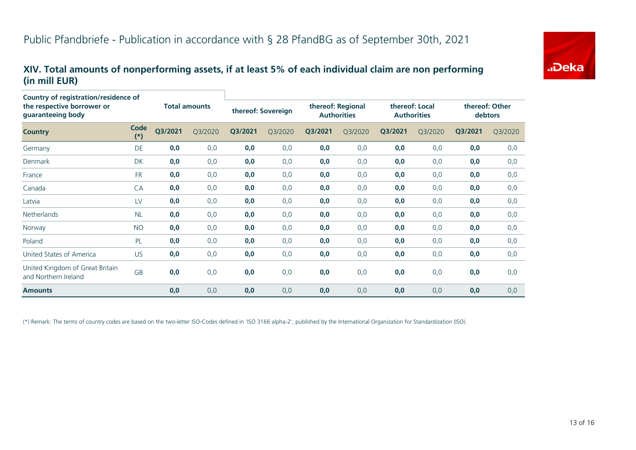# "Deka

#### **XIV. Total amounts of nonperforming assets, if at least 5% of each individual claim are non performing (in mill EUR)**

| <b>Country of registration/residence of</b>             |               |                      |         |                    |         |                                         |         |                                      |         |                           |         |
|---------------------------------------------------------|---------------|----------------------|---------|--------------------|---------|-----------------------------------------|---------|--------------------------------------|---------|---------------------------|---------|
| the respective borrower or<br>guaranteeing body         |               | <b>Total amounts</b> |         | thereof: Sovereign |         | thereof: Regional<br><b>Authorities</b> |         | thereof: Local<br><b>Authorities</b> |         | thereof: Other<br>debtors |         |
| <b>Country</b>                                          | Code<br>$(*)$ | Q3/2021              | Q3/2020 | Q3/2021            | Q3/2020 | Q3/2021                                 | Q3/2020 | Q3/2021                              | Q3/2020 | Q3/2021                   | Q3/2020 |
| Germany                                                 | DE            | 0,0                  | 0,0     | 0,0                | 0,0     | 0,0                                     | 0,0     | 0,0                                  | 0,0     | 0,0                       | 0,0     |
| Denmark                                                 | DK            | 0,0                  | 0,0     | 0,0                | 0,0     | 0,0                                     | 0,0     | 0,0                                  | 0,0     | 0,0                       | 0,0     |
| France                                                  | <b>FR</b>     | 0,0                  | 0,0     | 0,0                | 0,0     | 0,0                                     | 0,0     | 0,0                                  | 0,0     | 0,0                       | 0,0     |
| Canada                                                  | CA            | 0,0                  | 0,0     | 0,0                | 0, 0    | 0,0                                     | 0,0     | 0,0                                  | 0,0     | 0,0                       | 0,0     |
| Latvia                                                  | LV            | 0,0                  | 0,0     | 0,0                | 0,0     | 0,0                                     | 0,0     | 0,0                                  | 0,0     | 0,0                       | 0,0     |
| <b>Netherlands</b>                                      | <b>NL</b>     | 0,0                  | 0,0     | 0,0                | 0,0     | 0,0                                     | 0,0     | 0,0                                  | 0,0     | 0,0                       | 0,0     |
| Norway                                                  | <b>NO</b>     | 0,0                  | 0,0     | 0,0                | 0,0     | 0,0                                     | 0,0     | 0,0                                  | 0,0     | 0,0                       | 0,0     |
| Poland                                                  | PL            | 0,0                  | 0,0     | 0,0                | 0, 0    | 0,0                                     | 0,0     | 0,0                                  | 0,0     | 0,0                       | 0,0     |
| United States of America                                | <b>US</b>     | 0,0                  | 0,0     | 0,0                | 0,0     | 0,0                                     | 0,0     | 0,0                                  | 0,0     | 0,0                       | 0,0     |
| United Kingdom of Great Britain<br>and Northern Ireland | GB            | 0,0                  | 0,0     | 0,0                | 0,0     | 0,0                                     | 0,0     | 0,0                                  | 0,0     | 0,0                       | 0,0     |
| <b>Amounts</b>                                          |               | 0,0                  | 0,0     | 0,0                | 0,0     | 0,0                                     | 0,0     | 0,0                                  | 0,0     | 0,0                       | 0,0     |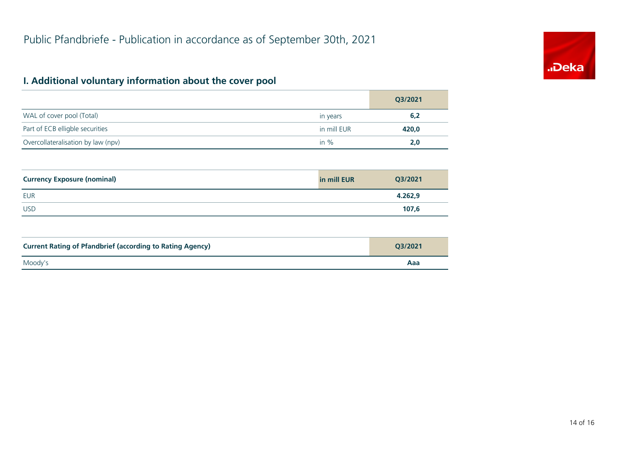

# **I. Additional voluntary information about the cover pool**

|                                    |             | Q3/2021 |
|------------------------------------|-------------|---------|
| WAL of cover pool (Total)          | in years    | 6,2     |
| Part of ECB elligble securities    | in mill EUR | 420,0   |
| Overcollateralisation by law (npv) | in $%$      | 2.0     |

| <b>Currency Exposure (nominal)</b> | in mill EUR | Q3/2021 |
|------------------------------------|-------------|---------|
| <b>EUR</b>                         |             | 4.262,9 |
| <b>USD</b>                         |             | 107,6   |

| <b>Current Rating of Pfandbrief (according to Rating Agency)</b> | O3/2021 |
|------------------------------------------------------------------|---------|
| Moody's                                                          | Aaa     |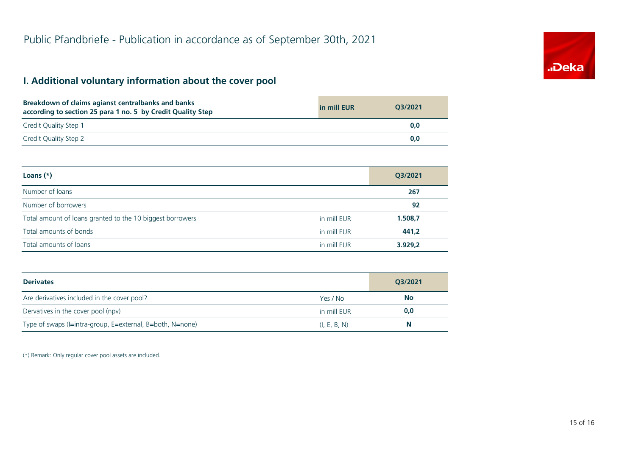# "Deka

### **I. Additional voluntary information about the cover pool**

| Breakdown of claims agianst centralbanks and banks<br>according to section 25 para 1 no. 5 by Credit Quality Step | in mill EUR | 03/2021 |
|-------------------------------------------------------------------------------------------------------------------|-------------|---------|
| Credit Quality Step 1                                                                                             |             | 0.0     |
| Credit Quality Step 2                                                                                             |             | 0.0     |

| Loans $(*)$                                               |             | Q3/2021 |
|-----------------------------------------------------------|-------------|---------|
| Number of loans                                           |             | 267     |
| Number of borrowers                                       |             | 92      |
| Total amount of loans granted to the 10 biggest borrowers | in mill EUR | 1.508,7 |
| Total amounts of bonds                                    | in mill EUR | 441,2   |
| Total amounts of loans                                    | in mill EUR | 3.929,2 |

| <b>Derivates</b>                                          |              | Q3/2021   |
|-----------------------------------------------------------|--------------|-----------|
| Are derivatives included in the cover pool?               | Yes / No     | <b>No</b> |
| Dervatives in the cover pool (npv)                        | in mill EUR  | 0,0       |
| Type of swaps (I=intra-group, E=external, B=both, N=none) | (I, E, B, N) | N         |

(\*) Remark: Only regular cover pool assets are included.